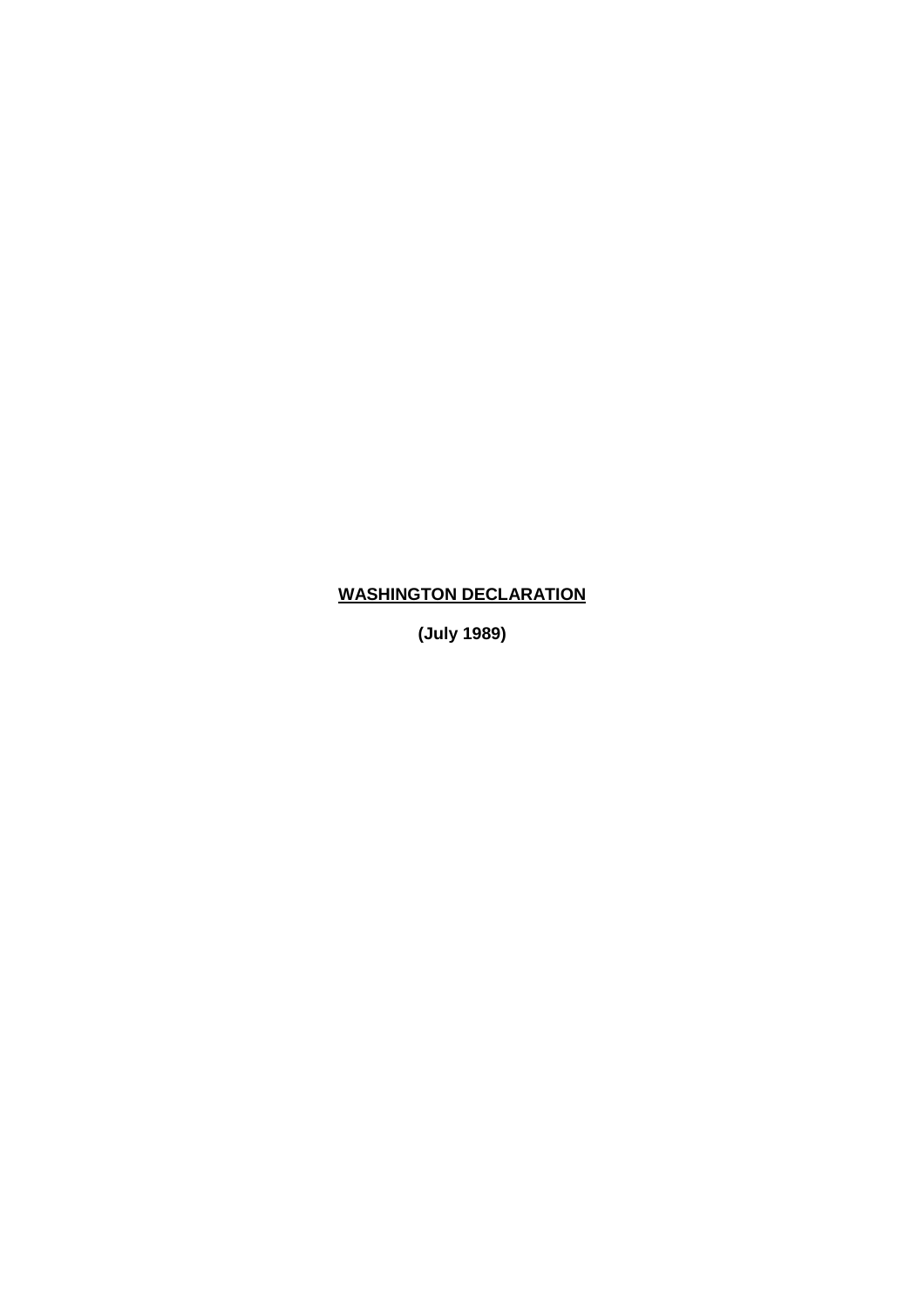## **WASHINGTON DECLARATION**

**(July 1989)**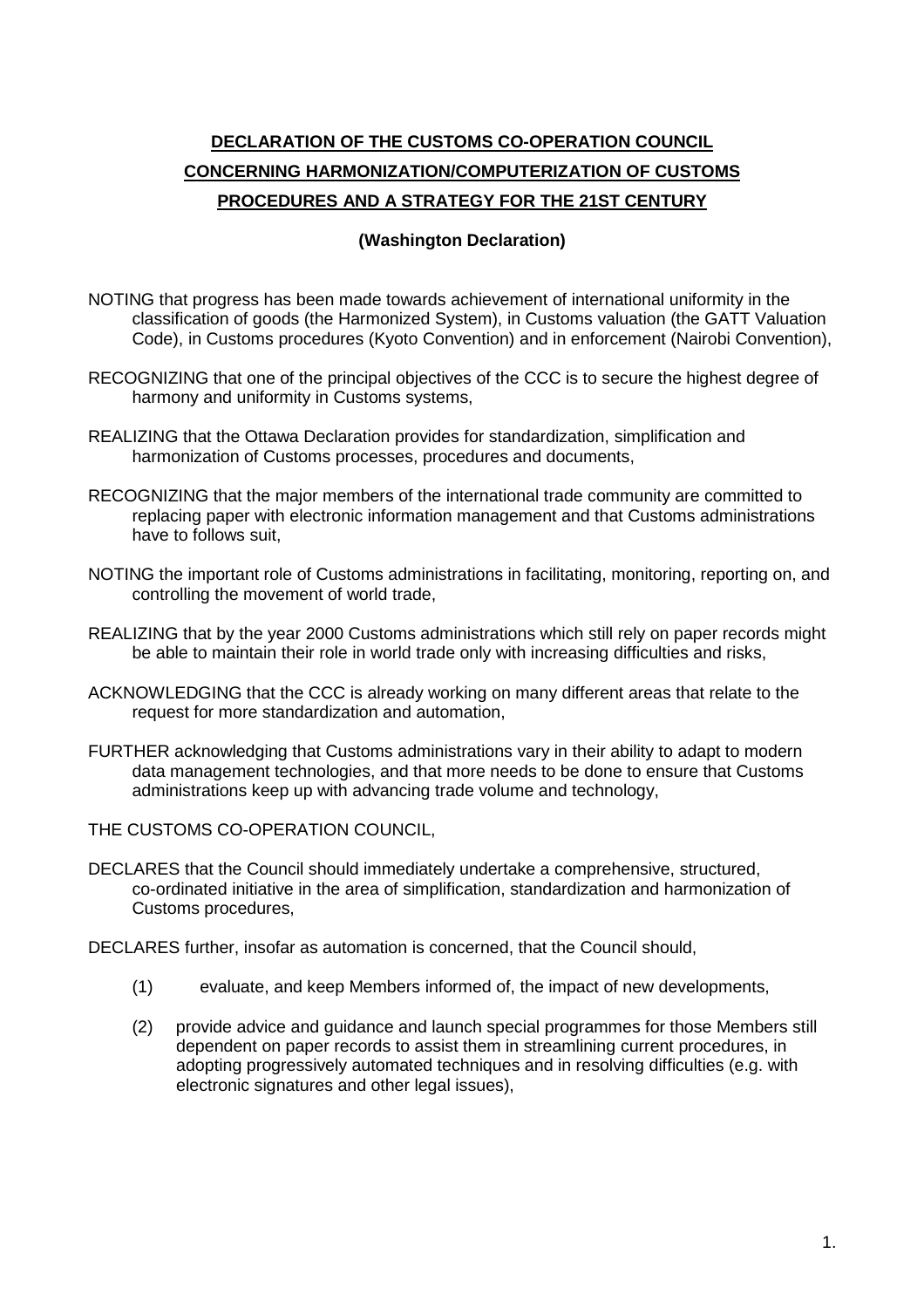## **DECLARATION OF THE CUSTOMS CO-OPERATION COUNCIL CONCERNING HARMONIZATION/COMPUTERIZATION OF CUSTOMS PROCEDURES AND A STRATEGY FOR THE 21ST CENTURY**

## **(Washington Declaration)**

- NOTING that progress has been made towards achievement of international uniformity in the classification of goods (the Harmonized System), in Customs valuation (the GATT Valuation Code), in Customs procedures (Kyoto Convention) and in enforcement (Nairobi Convention),
- RECOGNIZING that one of the principal objectives of the CCC is to secure the highest degree of harmony and uniformity in Customs systems,
- REALIZING that the Ottawa Declaration provides for standardization, simplification and harmonization of Customs processes, procedures and documents,
- RECOGNIZING that the major members of the international trade community are committed to replacing paper with electronic information management and that Customs administrations have to follows suit,
- NOTING the important role of Customs administrations in facilitating, monitoring, reporting on, and controlling the movement of world trade,
- REALIZING that by the year 2000 Customs administrations which still rely on paper records might be able to maintain their role in world trade only with increasing difficulties and risks,
- ACKNOWLEDGING that the CCC is already working on many different areas that relate to the request for more standardization and automation,
- FURTHER acknowledging that Customs administrations vary in their ability to adapt to modern data management technologies, and that more needs to be done to ensure that Customs administrations keep up with advancing trade volume and technology,
- THE CUSTOMS CO-OPERATION COUNCIL,
- DECLARES that the Council should immediately undertake a comprehensive, structured, co-ordinated initiative in the area of simplification, standardization and harmonization of Customs procedures,
- DECLARES further, insofar as automation is concerned, that the Council should,
	- (1) evaluate, and keep Members informed of, the impact of new developments,
	- (2) provide advice and guidance and launch special programmes for those Members still dependent on paper records to assist them in streamlining current procedures, in adopting progressively automated techniques and in resolving difficulties (e.g. with electronic signatures and other legal issues),